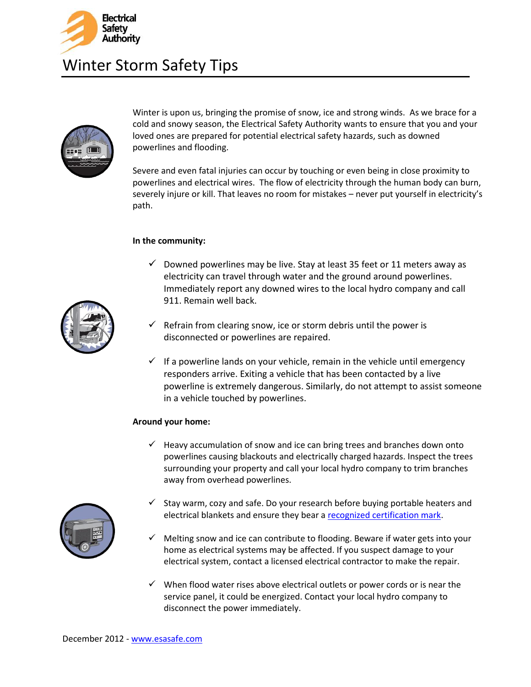



Winter is upon us, bringing the promise of snow, ice and strong winds. As we brace for a cold and snowy season, the Electrical Safety Authority wants to ensure that you and your loved ones are prepared for potential electrical safety hazards, such as downed powerlines and flooding.

Severe and even fatal injuries can occur by touching or even being in close proximity to powerlines and electrical wires. The flow of electricity through the human body can burn, severely injure or kill. That leaves no room for mistakes – never put yourself in electricity's path.

## **In the community:**

- $\checkmark$  Downed powerlines may be live. Stay at least 35 feet or 11 meters away as electricity can travel through water and the ground around powerlines. Immediately report any downed wires to the local hydro company and call 911. Remain well back.
- $\checkmark$  Refrain from clearing snow, ice or storm debris until the power is disconnected or powerlines are repaired.
- $\checkmark$  If a powerline lands on your vehicle, remain in the vehicle until emergency responders arrive. Exiting a vehicle that has been contacted by a live powerline is extremely dangerous. Similarly, do not attempt to assist someone in a vehicle touched by powerlines.

## **Around your home:**

 $\checkmark$  Heavy accumulation of snow and ice can bring trees and branches down onto powerlines causing blackouts and electrically charged hazards. Inspect the trees surrounding your property and call your local hydro company to trim branches away from overhead powerlines.



- $\checkmark$  Stay warm, cozy and safe. Do your research before buying portable heaters and electrical blankets and ensure they bear a [recognized certification mark.](http://www.esasafe.com/B2B/epa_002B.php?s=19)
- $\checkmark$  Melting snow and ice can contribute to flooding. Beware if water gets into your home as electrical systems may be affected. If you suspect damage to your electrical system, contact a licensed electrical contractor to make the repair.
- $\checkmark$  When flood water rises above electrical outlets or power cords or is near the service panel, it could be energized. Contact your local hydro company to disconnect the power immediately.